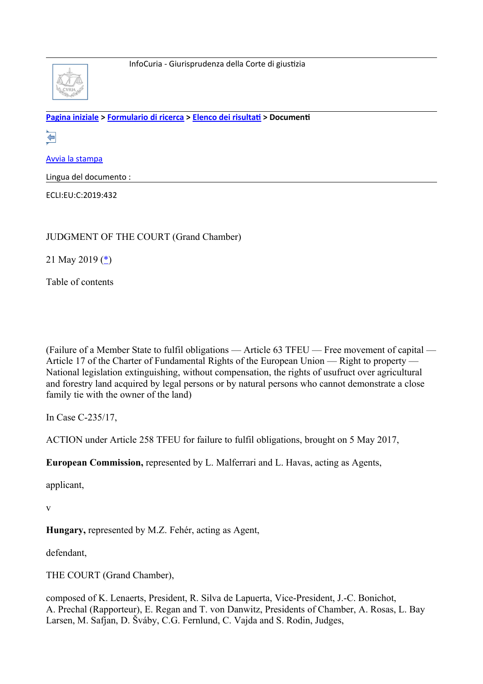

**[Pagina iniziale](http://curia.europa.eu/jcms/jcms/j_6?PortalAction_x_000_userLang=it) > [Formulario di ricerca](http://curia.europa.eu/juris/document/document.jsf?docid=214283&text=&dir=&doclang=EN&part=1&occ=first&mode=lst&pageIndex=0&actionMethod=document%2Fdocument.xhtml%3AformController.resetAction&cid=1344434) > [Elenco dei risultati](http://curia.europa.eu/juris/documents.jsf?oqp=&for=&mat=or&lgrec=it&jge=&td=%3BALL&jur=C%2CT%2CF&num=C-235%252F17&page=1&dates=&pcs=Oor&lg=&pro=&nat=or&cit=none%252CC%252CCJ%252CR%252C2008E%252C%252C%252C%252C%252C%252C%252C%252C%252C%252Ctrue%252Cfalse%252Cfalse&language=it&avg=&cid=1344434) > Documenti** 

€

[Avvia la stampa](http://curia.europa.eu/juris/document/document_print.jsf?docid=214283&text=&dir=&doclang=EN&part=1&occ=first&mode=lst&pageIndex=0&cid=1344434)

Lingua del documento :

ECLI:EU:C:2019:432

JUDGMENT OF THE COURT (Grand Chamber)

21 May 2019 ([\\*\)](http://curia.europa.eu/juris/document/document.jsf?text=&docid=214283&pageIndex=0&doclang=EN&mode=lst&dir=&occ=first&part=1&cid=1344434#Footnote*)

Table of contents

(Failure of a Member State to fulfil obligations — Article 63 TFEU — Free movement of capital — Article 17 of the Charter of Fundamental Rights of the European Union — Right to property — National legislation extinguishing, without compensation, the rights of usufruct over agricultural and forestry land acquired by legal persons or by natural persons who cannot demonstrate a close family tie with the owner of the land)

In Case C-235/17,

ACTION under Article 258 TFEU for failure to fulfil obligations, brought on 5 May 2017,

**European Commission,** represented by L. Malferrari and L. Havas, acting as Agents,

applicant,

v

**Hungary,** represented by M.Z. Fehér, acting as Agent,

defendant,

THE COURT (Grand Chamber),

composed of K. Lenaerts, President, R. Silva de Lapuerta, Vice-President, J.-C. Bonichot, A. Prechal (Rapporteur), E. Regan and T. von Danwitz, Presidents of Chamber, A. Rosas, L. Bay Larsen, M. Safjan, D. Šváby, C.G. Fernlund, C. Vajda and S. Rodin, Judges,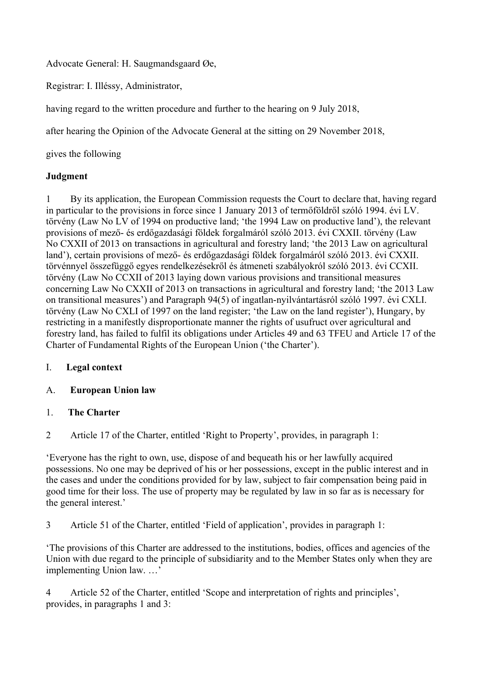Advocate General: H. Saugmandsgaard Øe,

Registrar: I. Illéssy, Administrator,

having regard to the written procedure and further to the hearing on 9 July 2018,

after hearing the Opinion of the Advocate General at the sitting on 29 November 2018,

gives the following

### **Judgment**

1 By its application, the European Commission requests the Court to declare that, having regard in particular to the provisions in force since 1 January 2013 of termőföldről szóló 1994. évi LV. törvény (Law No LV of 1994 on productive land; 'the 1994 Law on productive land'), the relevant provisions of mező- és erdőgazdasági földek forgalmáról szóló 2013. évi CXXII. törvény (Law No CXXII of 2013 on transactions in agricultural and forestry land; 'the 2013 Law on agricultural land'), certain provisions of mező- és erdőgazdasági földek forgalmáról szóló 2013. évi CXXII. törvénnyel összefüggő egyes rendelkezésekről és átmeneti szabályokról szóló 2013. évi CCXII. törvény (Law No CCXII of 2013 laying down various provisions and transitional measures concerning Law No CXXII of 2013 on transactions in agricultural and forestry land; 'the 2013 Law on transitional measures') and Paragraph 94(5) of ingatlan-nyilvántartásról szóló 1997. évi CXLI. törvény (Law No CXLI of 1997 on the land register; 'the Law on the land register'), Hungary, by restricting in a manifestly disproportionate manner the rights of usufruct over agricultural and forestry land, has failed to fulfil its obligations under Articles 49 and 63 TFEU and Article 17 of the Charter of Fundamental Rights of the European Union ('the Charter').

#### I. **Legal context**

# A. **European Union law**

#### 1. **The Charter**

2 Article 17 of the Charter, entitled 'Right to Property', provides, in paragraph 1:

'Everyone has the right to own, use, dispose of and bequeath his or her lawfully acquired possessions. No one may be deprived of his or her possessions, except in the public interest and in the cases and under the conditions provided for by law, subject to fair compensation being paid in good time for their loss. The use of property may be regulated by law in so far as is necessary for the general interest.'

3 Article 51 of the Charter, entitled 'Field of application', provides in paragraph 1:

'The provisions of this Charter are addressed to the institutions, bodies, offices and agencies of the Union with due regard to the principle of subsidiarity and to the Member States only when they are implementing Union law. …'

4 Article 52 of the Charter, entitled 'Scope and interpretation of rights and principles', provides, in paragraphs 1 and 3: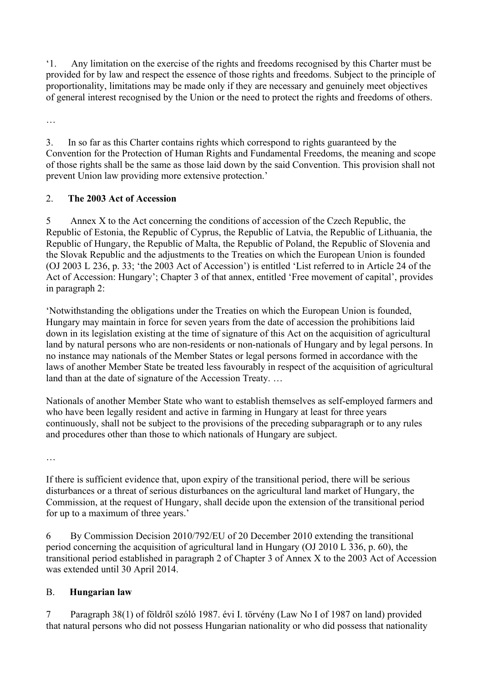'1. Any limitation on the exercise of the rights and freedoms recognised by this Charter must be provided for by law and respect the essence of those rights and freedoms. Subject to the principle of proportionality, limitations may be made only if they are necessary and genuinely meet objectives of general interest recognised by the Union or the need to protect the rights and freedoms of others.

…

3. In so far as this Charter contains rights which correspond to rights guaranteed by the Convention for the Protection of Human Rights and Fundamental Freedoms, the meaning and scope of those rights shall be the same as those laid down by the said Convention. This provision shall not prevent Union law providing more extensive protection.'

# 2. **The 2003 Act of Accession**

5 Annex X to the Act concerning the conditions of accession of the Czech Republic, the Republic of Estonia, the Republic of Cyprus, the Republic of Latvia, the Republic of Lithuania, the Republic of Hungary, the Republic of Malta, the Republic of Poland, the Republic of Slovenia and the Slovak Republic and the adjustments to the Treaties on which the European Union is founded (OJ 2003 L 236, p. 33; 'the 2003 Act of Accession') is entitled 'List referred to in Article 24 of the Act of Accession: Hungary'; Chapter 3 of that annex, entitled 'Free movement of capital', provides in paragraph 2:

'Notwithstanding the obligations under the Treaties on which the European Union is founded, Hungary may maintain in force for seven years from the date of accession the prohibitions laid down in its legislation existing at the time of signature of this Act on the acquisition of agricultural land by natural persons who are non-residents or non-nationals of Hungary and by legal persons. In no instance may nationals of the Member States or legal persons formed in accordance with the laws of another Member State be treated less favourably in respect of the acquisition of agricultural land than at the date of signature of the Accession Treaty. …

Nationals of another Member State who want to establish themselves as self-employed farmers and who have been legally resident and active in farming in Hungary at least for three years continuously, shall not be subject to the provisions of the preceding subparagraph or to any rules and procedures other than those to which nationals of Hungary are subject.

…

If there is sufficient evidence that, upon expiry of the transitional period, there will be serious disturbances or a threat of serious disturbances on the agricultural land market of Hungary, the Commission, at the request of Hungary, shall decide upon the extension of the transitional period for up to a maximum of three years.'

6 By Commission Decision 2010/792/EU of 20 December 2010 extending the transitional period concerning the acquisition of agricultural land in Hungary (OJ 2010 L 336, p. 60), the transitional period established in paragraph 2 of Chapter 3 of Annex X to the 2003 Act of Accession was extended until 30 April 2014.

# B. **Hungarian law**

7 Paragraph 38(1) of földről szóló 1987. évi I. törvény (Law No I of 1987 on land) provided that natural persons who did not possess Hungarian nationality or who did possess that nationality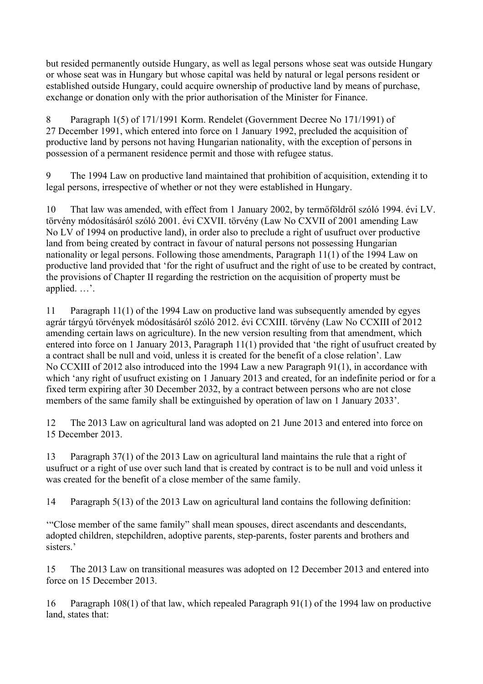but resided permanently outside Hungary, as well as legal persons whose seat was outside Hungary or whose seat was in Hungary but whose capital was held by natural or legal persons resident or established outside Hungary, could acquire ownership of productive land by means of purchase, exchange or donation only with the prior authorisation of the Minister for Finance.

8 Paragraph 1(5) of 171/1991 Korm. Rendelet (Government Decree No 171/1991) of 27 December 1991, which entered into force on 1 January 1992, precluded the acquisition of productive land by persons not having Hungarian nationality, with the exception of persons in possession of a permanent residence permit and those with refugee status.

9 The 1994 Law on productive land maintained that prohibition of acquisition, extending it to legal persons, irrespective of whether or not they were established in Hungary.

10 That law was amended, with effect from 1 January 2002, by termőföldről szóló 1994. évi LV. törvény módosításáról szóló 2001. évi CXVII. törvény (Law No CXVII of 2001 amending Law No LV of 1994 on productive land), in order also to preclude a right of usufruct over productive land from being created by contract in favour of natural persons not possessing Hungarian nationality or legal persons. Following those amendments, Paragraph 11(1) of the 1994 Law on productive land provided that 'for the right of usufruct and the right of use to be created by contract, the provisions of Chapter II regarding the restriction on the acquisition of property must be applied. …'.

11 Paragraph 11(1) of the 1994 Law on productive land was subsequently amended by egyes agrár tárgyú törvények módosításáról szóló 2012. évi CCXIII. törvény (Law No CCXIII of 2012 amending certain laws on agriculture). In the new version resulting from that amendment, which entered into force on 1 January 2013, Paragraph 11(1) provided that 'the right of usufruct created by a contract shall be null and void, unless it is created for the benefit of a close relation'. Law No CCXIII of 2012 also introduced into the 1994 Law a new Paragraph 91(1), in accordance with which 'any right of usufruct existing on 1 January 2013 and created, for an indefinite period or for a fixed term expiring after 30 December 2032, by a contract between persons who are not close members of the same family shall be extinguished by operation of law on 1 January 2033'.

12 The 2013 Law on agricultural land was adopted on 21 June 2013 and entered into force on 15 December 2013.

13 Paragraph 37(1) of the 2013 Law on agricultural land maintains the rule that a right of usufruct or a right of use over such land that is created by contract is to be null and void unless it was created for the benefit of a close member of the same family.

14 Paragraph 5(13) of the 2013 Law on agricultural land contains the following definition:

'"Close member of the same family" shall mean spouses, direct ascendants and descendants, adopted children, stepchildren, adoptive parents, step-parents, foster parents and brothers and sisters.'

15 The 2013 Law on transitional measures was adopted on 12 December 2013 and entered into force on 15 December 2013.

16 Paragraph 108(1) of that law, which repealed Paragraph 91(1) of the 1994 law on productive land, states that: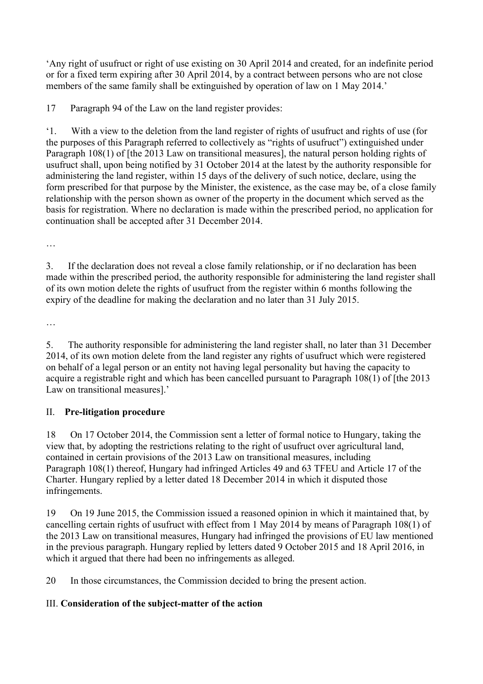'Any right of usufruct or right of use existing on 30 April 2014 and created, for an indefinite period or for a fixed term expiring after 30 April 2014, by a contract between persons who are not close members of the same family shall be extinguished by operation of law on 1 May 2014.'

17 Paragraph 94 of the Law on the land register provides:

'1. With a view to the deletion from the land register of rights of usufruct and rights of use (for the purposes of this Paragraph referred to collectively as "rights of usufruct") extinguished under Paragraph 108(1) of [the 2013 Law on transitional measures], the natural person holding rights of usufruct shall, upon being notified by 31 October 2014 at the latest by the authority responsible for administering the land register, within 15 days of the delivery of such notice, declare, using the form prescribed for that purpose by the Minister, the existence, as the case may be, of a close family relationship with the person shown as owner of the property in the document which served as the basis for registration. Where no declaration is made within the prescribed period, no application for continuation shall be accepted after 31 December 2014.

…

3. If the declaration does not reveal a close family relationship, or if no declaration has been made within the prescribed period, the authority responsible for administering the land register shall of its own motion delete the rights of usufruct from the register within 6 months following the expiry of the deadline for making the declaration and no later than 31 July 2015.

…

5. The authority responsible for administering the land register shall, no later than 31 December 2014, of its own motion delete from the land register any rights of usufruct which were registered on behalf of a legal person or an entity not having legal personality but having the capacity to acquire a registrable right and which has been cancelled pursuant to Paragraph 108(1) of [the 2013 Law on transitional measures].'

# II. **Pre-litigation procedure**

18 On 17 October 2014, the Commission sent a letter of formal notice to Hungary, taking the view that, by adopting the restrictions relating to the right of usufruct over agricultural land, contained in certain provisions of the 2013 Law on transitional measures, including Paragraph 108(1) thereof, Hungary had infringed Articles 49 and 63 TFEU and Article 17 of the Charter. Hungary replied by a letter dated 18 December 2014 in which it disputed those infringements.

19 On 19 June 2015, the Commission issued a reasoned opinion in which it maintained that, by cancelling certain rights of usufruct with effect from 1 May 2014 by means of Paragraph 108(1) of the 2013 Law on transitional measures, Hungary had infringed the provisions of EU law mentioned in the previous paragraph. Hungary replied by letters dated 9 October 2015 and 18 April 2016, in which it argued that there had been no infringements as alleged.

20 In those circumstances, the Commission decided to bring the present action.

# III. **Consideration of the subject-matter of the action**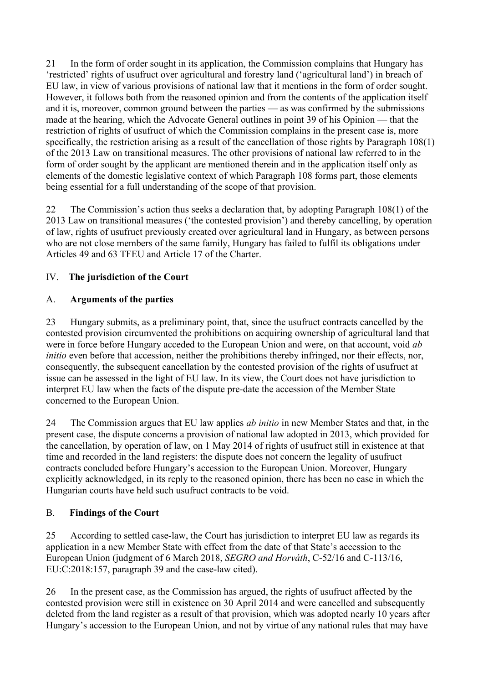21 In the form of order sought in its application, the Commission complains that Hungary has 'restricted' rights of usufruct over agricultural and forestry land ('agricultural land') in breach of EU law, in view of various provisions of national law that it mentions in the form of order sought. However, it follows both from the reasoned opinion and from the contents of the application itself and it is, moreover, common ground between the parties — as was confirmed by the submissions made at the hearing, which the Advocate General outlines in point 39 of his Opinion — that the restriction of rights of usufruct of which the Commission complains in the present case is, more specifically, the restriction arising as a result of the cancellation of those rights by Paragraph 108(1) of the 2013 Law on transitional measures. The other provisions of national law referred to in the form of order sought by the applicant are mentioned therein and in the application itself only as elements of the domestic legislative context of which Paragraph 108 forms part, those elements being essential for a full understanding of the scope of that provision.

22 The Commission's action thus seeks a declaration that, by adopting Paragraph 108(1) of the 2013 Law on transitional measures ('the contested provision') and thereby cancelling, by operation of law, rights of usufruct previously created over agricultural land in Hungary, as between persons who are not close members of the same family, Hungary has failed to fulfil its obligations under Articles 49 and 63 TFEU and Article 17 of the Charter.

# IV. **The jurisdiction of the Court**

# A. **Arguments of the parties**

23 Hungary submits, as a preliminary point, that, since the usufruct contracts cancelled by the contested provision circumvented the prohibitions on acquiring ownership of agricultural land that were in force before Hungary acceded to the European Union and were, on that account, void *ab initio* even before that accession, neither the prohibitions thereby infringed, nor their effects, nor, consequently, the subsequent cancellation by the contested provision of the rights of usufruct at issue can be assessed in the light of EU law. In its view, the Court does not have jurisdiction to interpret EU law when the facts of the dispute pre-date the accession of the Member State concerned to the European Union.

24 The Commission argues that EU law applies *ab initio* in new Member States and that, in the present case, the dispute concerns a provision of national law adopted in 2013, which provided for the cancellation, by operation of law, on 1 May 2014 of rights of usufruct still in existence at that time and recorded in the land registers: the dispute does not concern the legality of usufruct contracts concluded before Hungary's accession to the European Union. Moreover, Hungary explicitly acknowledged, in its reply to the reasoned opinion, there has been no case in which the Hungarian courts have held such usufruct contracts to be void.

# B. **Findings of the Court**

25 According to settled case-law, the Court has jurisdiction to interpret EU law as regards its application in a new Member State with effect from the date of that State's accession to the European Union (judgment of 6 March 2018, *SEGRO and Horváth*, C-52/16 and C-113/16, EU:C:2018:157, paragraph 39 and the case-law cited).

26 In the present case, as the Commission has argued, the rights of usufruct affected by the contested provision were still in existence on 30 April 2014 and were cancelled and subsequently deleted from the land register as a result of that provision, which was adopted nearly 10 years after Hungary's accession to the European Union, and not by virtue of any national rules that may have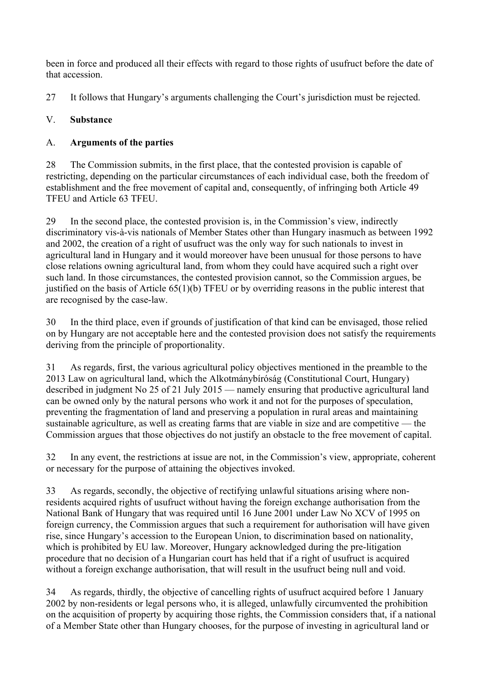been in force and produced all their effects with regard to those rights of usufruct before the date of that accession.

27 It follows that Hungary's arguments challenging the Court's jurisdiction must be rejected.

# V. **Substance**

# A. **Arguments of the parties**

28 The Commission submits, in the first place, that the contested provision is capable of restricting, depending on the particular circumstances of each individual case, both the freedom of establishment and the free movement of capital and, consequently, of infringing both Article 49 TFEU and Article 63 TFEU.

29 In the second place, the contested provision is, in the Commission's view, indirectly discriminatory vis-à-vis nationals of Member States other than Hungary inasmuch as between 1992 and 2002, the creation of a right of usufruct was the only way for such nationals to invest in agricultural land in Hungary and it would moreover have been unusual for those persons to have close relations owning agricultural land, from whom they could have acquired such a right over such land. In those circumstances, the contested provision cannot, so the Commission argues, be justified on the basis of Article 65(1)(b) TFEU or by overriding reasons in the public interest that are recognised by the case-law.

30 In the third place, even if grounds of justification of that kind can be envisaged, those relied on by Hungary are not acceptable here and the contested provision does not satisfy the requirements deriving from the principle of proportionality.

31 As regards, first, the various agricultural policy objectives mentioned in the preamble to the 2013 Law on agricultural land, which the Alkotmánybíróság (Constitutional Court, Hungary) described in judgment No 25 of 21 July 2015 — namely ensuring that productive agricultural land can be owned only by the natural persons who work it and not for the purposes of speculation, preventing the fragmentation of land and preserving a population in rural areas and maintaining sustainable agriculture, as well as creating farms that are viable in size and are competitive — the Commission argues that those objectives do not justify an obstacle to the free movement of capital.

32 In any event, the restrictions at issue are not, in the Commission's view, appropriate, coherent or necessary for the purpose of attaining the objectives invoked.

33 As regards, secondly, the objective of rectifying unlawful situations arising where nonresidents acquired rights of usufruct without having the foreign exchange authorisation from the National Bank of Hungary that was required until 16 June 2001 under Law No XCV of 1995 on foreign currency, the Commission argues that such a requirement for authorisation will have given rise, since Hungary's accession to the European Union, to discrimination based on nationality, which is prohibited by EU law. Moreover, Hungary acknowledged during the pre-litigation procedure that no decision of a Hungarian court has held that if a right of usufruct is acquired without a foreign exchange authorisation, that will result in the usufruct being null and void.

34 As regards, thirdly, the objective of cancelling rights of usufruct acquired before 1 January 2002 by non-residents or legal persons who, it is alleged, unlawfully circumvented the prohibition on the acquisition of property by acquiring those rights, the Commission considers that, if a national of a Member State other than Hungary chooses, for the purpose of investing in agricultural land or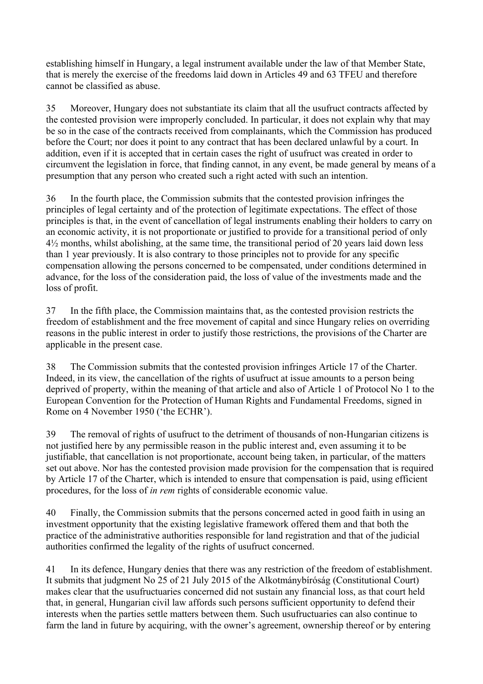establishing himself in Hungary, a legal instrument available under the law of that Member State, that is merely the exercise of the freedoms laid down in Articles 49 and 63 TFEU and therefore cannot be classified as abuse.

35 Moreover, Hungary does not substantiate its claim that all the usufruct contracts affected by the contested provision were improperly concluded. In particular, it does not explain why that may be so in the case of the contracts received from complainants, which the Commission has produced before the Court; nor does it point to any contract that has been declared unlawful by a court. In addition, even if it is accepted that in certain cases the right of usufruct was created in order to circumvent the legislation in force, that finding cannot, in any event, be made general by means of a presumption that any person who created such a right acted with such an intention.

36 In the fourth place, the Commission submits that the contested provision infringes the principles of legal certainty and of the protection of legitimate expectations. The effect of those principles is that, in the event of cancellation of legal instruments enabling their holders to carry on an economic activity, it is not proportionate or justified to provide for a transitional period of only 4½ months, whilst abolishing, at the same time, the transitional period of 20 years laid down less than 1 year previously. It is also contrary to those principles not to provide for any specific compensation allowing the persons concerned to be compensated, under conditions determined in advance, for the loss of the consideration paid, the loss of value of the investments made and the loss of profit.

37 In the fifth place, the Commission maintains that, as the contested provision restricts the freedom of establishment and the free movement of capital and since Hungary relies on overriding reasons in the public interest in order to justify those restrictions, the provisions of the Charter are applicable in the present case.

38 The Commission submits that the contested provision infringes Article 17 of the Charter. Indeed, in its view, the cancellation of the rights of usufruct at issue amounts to a person being deprived of property, within the meaning of that article and also of Article 1 of Protocol No 1 to the European Convention for the Protection of Human Rights and Fundamental Freedoms, signed in Rome on 4 November 1950 ('the ECHR').

39 The removal of rights of usufruct to the detriment of thousands of non-Hungarian citizens is not justified here by any permissible reason in the public interest and, even assuming it to be justifiable, that cancellation is not proportionate, account being taken, in particular, of the matters set out above. Nor has the contested provision made provision for the compensation that is required by Article 17 of the Charter, which is intended to ensure that compensation is paid, using efficient procedures, for the loss of *in rem* rights of considerable economic value.

40 Finally, the Commission submits that the persons concerned acted in good faith in using an investment opportunity that the existing legislative framework offered them and that both the practice of the administrative authorities responsible for land registration and that of the judicial authorities confirmed the legality of the rights of usufruct concerned.

41 In its defence, Hungary denies that there was any restriction of the freedom of establishment. It submits that judgment No 25 of 21 July 2015 of the Alkotmánybíróság (Constitutional Court) makes clear that the usufructuaries concerned did not sustain any financial loss, as that court held that, in general, Hungarian civil law affords such persons sufficient opportunity to defend their interests when the parties settle matters between them. Such usufructuaries can also continue to farm the land in future by acquiring, with the owner's agreement, ownership thereof or by entering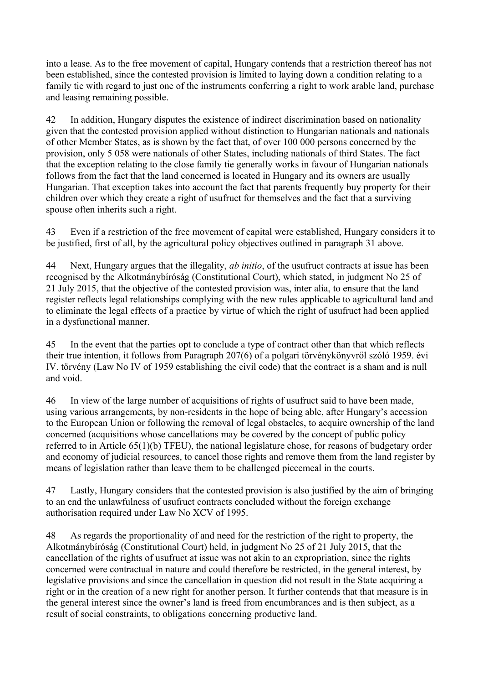into a lease. As to the free movement of capital, Hungary contends that a restriction thereof has not been established, since the contested provision is limited to laying down a condition relating to a family tie with regard to just one of the instruments conferring a right to work arable land, purchase and leasing remaining possible.

42 In addition, Hungary disputes the existence of indirect discrimination based on nationality given that the contested provision applied without distinction to Hungarian nationals and nationals of other Member States, as is shown by the fact that, of over 100 000 persons concerned by the provision, only 5 058 were nationals of other States, including nationals of third States. The fact that the exception relating to the close family tie generally works in favour of Hungarian nationals follows from the fact that the land concerned is located in Hungary and its owners are usually Hungarian. That exception takes into account the fact that parents frequently buy property for their children over which they create a right of usufruct for themselves and the fact that a surviving spouse often inherits such a right.

43 Even if a restriction of the free movement of capital were established, Hungary considers it to be justified, first of all, by the agricultural policy objectives outlined in paragraph 31 above.

44 Next, Hungary argues that the illegality, *ab initio*, of the usufruct contracts at issue has been recognised by the Alkotmánybíróság (Constitutional Court), which stated, in judgment No 25 of 21 July 2015, that the objective of the contested provision was, inter alia, to ensure that the land register reflects legal relationships complying with the new rules applicable to agricultural land and to eliminate the legal effects of a practice by virtue of which the right of usufruct had been applied in a dysfunctional manner.

45 In the event that the parties opt to conclude a type of contract other than that which reflects their true intention, it follows from Paragraph 207(6) of a polgari törvénykönyvről szóló 1959. évi IV. törvény (Law No IV of 1959 establishing the civil code) that the contract is a sham and is null and void.

46 In view of the large number of acquisitions of rights of usufruct said to have been made, using various arrangements, by non-residents in the hope of being able, after Hungary's accession to the European Union or following the removal of legal obstacles, to acquire ownership of the land concerned (acquisitions whose cancellations may be covered by the concept of public policy referred to in Article 65(1)(b) TFEU), the national legislature chose, for reasons of budgetary order and economy of judicial resources, to cancel those rights and remove them from the land register by means of legislation rather than leave them to be challenged piecemeal in the courts.

47 Lastly, Hungary considers that the contested provision is also justified by the aim of bringing to an end the unlawfulness of usufruct contracts concluded without the foreign exchange authorisation required under Law No XCV of 1995.

48 As regards the proportionality of and need for the restriction of the right to property, the Alkotmánybíróság (Constitutional Court) held, in judgment No 25 of 21 July 2015, that the cancellation of the rights of usufruct at issue was not akin to an expropriation, since the rights concerned were contractual in nature and could therefore be restricted, in the general interest, by legislative provisions and since the cancellation in question did not result in the State acquiring a right or in the creation of a new right for another person. It further contends that that measure is in the general interest since the owner's land is freed from encumbrances and is then subject, as a result of social constraints, to obligations concerning productive land.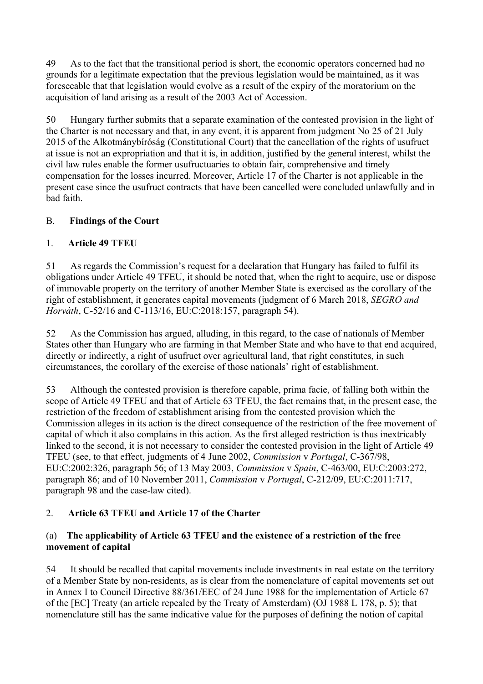49 As to the fact that the transitional period is short, the economic operators concerned had no grounds for a legitimate expectation that the previous legislation would be maintained, as it was foreseeable that that legislation would evolve as a result of the expiry of the moratorium on the acquisition of land arising as a result of the 2003 Act of Accession.

50 Hungary further submits that a separate examination of the contested provision in the light of the Charter is not necessary and that, in any event, it is apparent from judgment No 25 of 21 July 2015 of the Alkotmánybíróság (Constitutional Court) that the cancellation of the rights of usufruct at issue is not an expropriation and that it is, in addition, justified by the general interest, whilst the civil law rules enable the former usufructuaries to obtain fair, comprehensive and timely compensation for the losses incurred. Moreover, Article 17 of the Charter is not applicable in the present case since the usufruct contracts that have been cancelled were concluded unlawfully and in bad faith.

# B. **Findings of the Court**

# 1. **Article 49 TFEU**

51 As regards the Commission's request for a declaration that Hungary has failed to fulfil its obligations under Article 49 TFEU, it should be noted that, when the right to acquire, use or dispose of immovable property on the territory of another Member State is exercised as the corollary of the right of establishment, it generates capital movements (judgment of 6 March 2018, *SEGRO and Horváth*, C-52/16 and C-113/16, EU:C:2018:157, paragraph 54).

52 As the Commission has argued, alluding, in this regard, to the case of nationals of Member States other than Hungary who are farming in that Member State and who have to that end acquired, directly or indirectly, a right of usufruct over agricultural land, that right constitutes, in such circumstances, the corollary of the exercise of those nationals' right of establishment.

53 Although the contested provision is therefore capable, prima facie, of falling both within the scope of Article 49 TFEU and that of Article 63 TFEU, the fact remains that, in the present case, the restriction of the freedom of establishment arising from the contested provision which the Commission alleges in its action is the direct consequence of the restriction of the free movement of capital of which it also complains in this action. As the first alleged restriction is thus inextricably linked to the second, it is not necessary to consider the contested provision in the light of Article 49 TFEU (see, to that effect, judgments of 4 June 2002, *Commission* v *Portugal*, C-367/98, EU:C:2002:326, paragraph 56; of 13 May 2003, *Commission* v *Spain*, C-463/00, EU:C:2003:272, paragraph 86; and of 10 November 2011, *Commission* v *Portugal*, C-212/09, EU:C:2011:717, paragraph 98 and the case-law cited).

# 2. **Article 63 TFEU and Article 17 of the Charter**

### (a) **The applicability of Article 63 TFEU and the existence of a restriction of the free movement of capital**

54 It should be recalled that capital movements include investments in real estate on the territory of a Member State by non-residents, as is clear from the nomenclature of capital movements set out in Annex I to Council Directive 88/361/EEC of 24 June 1988 for the implementation of Article 67 of the [EC] Treaty (an article repealed by the Treaty of Amsterdam) (OJ 1988 L 178, p. 5); that nomenclature still has the same indicative value for the purposes of defining the notion of capital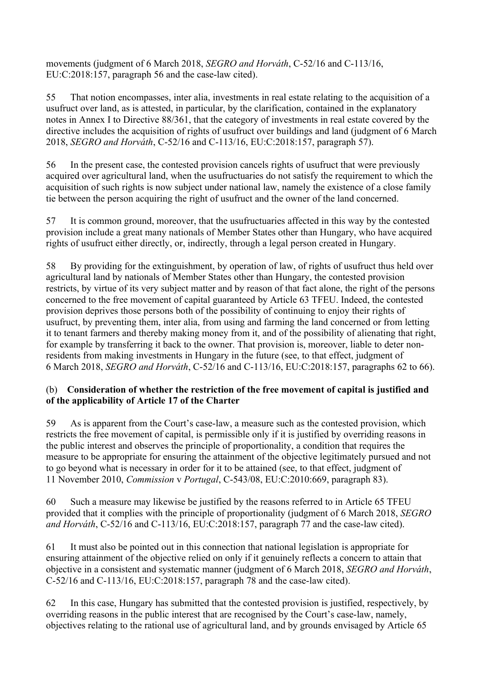movements (judgment of 6 March 2018, *SEGRO and Horváth*, C-52/16 and C-113/16, EU:C:2018:157, paragraph 56 and the case-law cited).

55 That notion encompasses, inter alia, investments in real estate relating to the acquisition of a usufruct over land, as is attested, in particular, by the clarification, contained in the explanatory notes in Annex I to Directive 88/361, that the category of investments in real estate covered by the directive includes the acquisition of rights of usufruct over buildings and land (judgment of 6 March 2018, *SEGRO and Horváth*, C-52/16 and C-113/16, EU:C:2018:157, paragraph 57).

56 In the present case, the contested provision cancels rights of usufruct that were previously acquired over agricultural land, when the usufructuaries do not satisfy the requirement to which the acquisition of such rights is now subject under national law, namely the existence of a close family tie between the person acquiring the right of usufruct and the owner of the land concerned.

57 It is common ground, moreover, that the usufructuaries affected in this way by the contested provision include a great many nationals of Member States other than Hungary, who have acquired rights of usufruct either directly, or, indirectly, through a legal person created in Hungary.

58 By providing for the extinguishment, by operation of law, of rights of usufruct thus held over agricultural land by nationals of Member States other than Hungary, the contested provision restricts, by virtue of its very subject matter and by reason of that fact alone, the right of the persons concerned to the free movement of capital guaranteed by Article 63 TFEU. Indeed, the contested provision deprives those persons both of the possibility of continuing to enjoy their rights of usufruct, by preventing them, inter alia, from using and farming the land concerned or from letting it to tenant farmers and thereby making money from it, and of the possibility of alienating that right, for example by transferring it back to the owner. That provision is, moreover, liable to deter nonresidents from making investments in Hungary in the future (see, to that effect, judgment of 6 March 2018, *SEGRO and Horváth*, C-52/16 and C-113/16, EU:C:2018:157, paragraphs 62 to 66).

### (b) **Consideration of whether the restriction of the free movement of capital is justified and of the applicability of Article 17 of the Charter**

59 As is apparent from the Court's case-law, a measure such as the contested provision, which restricts the free movement of capital, is permissible only if it is justified by overriding reasons in the public interest and observes the principle of proportionality, a condition that requires the measure to be appropriate for ensuring the attainment of the objective legitimately pursued and not to go beyond what is necessary in order for it to be attained (see, to that effect, judgment of 11 November 2010, *Commission* v *Portugal*, C-543/08, EU:C:2010:669, paragraph 83).

60 Such a measure may likewise be justified by the reasons referred to in Article 65 TFEU provided that it complies with the principle of proportionality (judgment of 6 March 2018, *SEGRO and Horváth*, C-52/16 and C-113/16, EU:C:2018:157, paragraph 77 and the case-law cited).

61 It must also be pointed out in this connection that national legislation is appropriate for ensuring attainment of the objective relied on only if it genuinely reflects a concern to attain that objective in a consistent and systematic manner (judgment of 6 March 2018, *SEGRO and Horváth*, C-52/16 and C-113/16, EU:C:2018:157, paragraph 78 and the case-law cited).

62 In this case, Hungary has submitted that the contested provision is justified, respectively, by overriding reasons in the public interest that are recognised by the Court's case-law, namely, objectives relating to the rational use of agricultural land, and by grounds envisaged by Article 65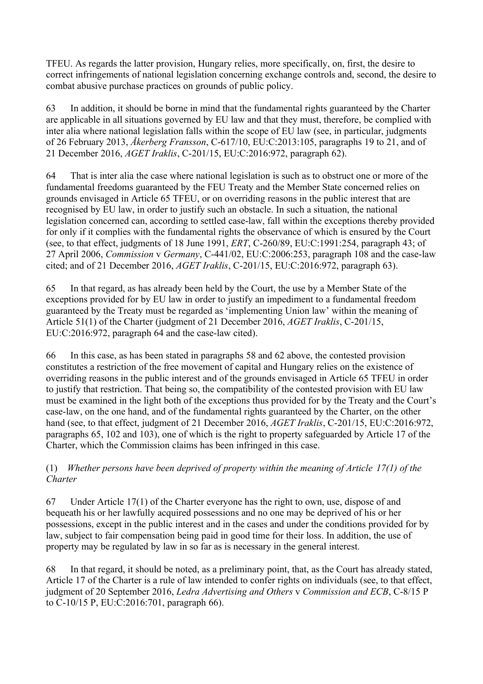TFEU. As regards the latter provision, Hungary relies, more specifically, on, first, the desire to correct infringements of national legislation concerning exchange controls and, second, the desire to combat abusive purchase practices on grounds of public policy.

63 In addition, it should be borne in mind that the fundamental rights guaranteed by the Charter are applicable in all situations governed by EU law and that they must, therefore, be complied with inter alia where national legislation falls within the scope of EU law (see, in particular, judgments of 26 February 2013, *Åkerberg Fransson*, C-617/10, EU:C:2013:105, paragraphs 19 to 21, and of 21 December 2016, *AGET Iraklis*, C-201/15, EU:C:2016:972, paragraph 62).

64 That is inter alia the case where national legislation is such as to obstruct one or more of the fundamental freedoms guaranteed by the FEU Treaty and the Member State concerned relies on grounds envisaged in Article 65 TFEU, or on overriding reasons in the public interest that are recognised by EU law, in order to justify such an obstacle. In such a situation, the national legislation concerned can, according to settled case-law, fall within the exceptions thereby provided for only if it complies with the fundamental rights the observance of which is ensured by the Court (see, to that effect, judgments of 18 June 1991, *ERT*, C-260/89, EU:C:1991:254, paragraph 43; of 27 April 2006, *Commission* v *Germany*, C-441/02, EU:C:2006:253, paragraph 108 and the case-law cited; and of 21 December 2016, *AGET Iraklis*, C-201/15, EU:C:2016:972, paragraph 63).

65 In that regard, as has already been held by the Court, the use by a Member State of the exceptions provided for by EU law in order to justify an impediment to a fundamental freedom guaranteed by the Treaty must be regarded as 'implementing Union law' within the meaning of Article 51(1) of the Charter (judgment of 21 December 2016, *AGET Iraklis*, C-201/15, EU:C:2016:972, paragraph 64 and the case-law cited).

66 In this case, as has been stated in paragraphs 58 and 62 above, the contested provision constitutes a restriction of the free movement of capital and Hungary relies on the existence of overriding reasons in the public interest and of the grounds envisaged in Article 65 TFEU in order to justify that restriction. That being so, the compatibility of the contested provision with EU law must be examined in the light both of the exceptions thus provided for by the Treaty and the Court's case-law, on the one hand, and of the fundamental rights guaranteed by the Charter, on the other hand (see, to that effect, judgment of 21 December 2016, *AGET Iraklis*, C-201/15, EU:C:2016:972, paragraphs 65, 102 and 103), one of which is the right to property safeguarded by Article 17 of the Charter, which the Commission claims has been infringed in this case.

### (1) *Whether persons have been deprived of property within the meaning of Article 17(1) of the Charter*

67 Under Article 17(1) of the Charter everyone has the right to own, use, dispose of and bequeath his or her lawfully acquired possessions and no one may be deprived of his or her possessions, except in the public interest and in the cases and under the conditions provided for by law, subject to fair compensation being paid in good time for their loss. In addition, the use of property may be regulated by law in so far as is necessary in the general interest.

68 In that regard, it should be noted, as a preliminary point, that, as the Court has already stated, Article 17 of the Charter is a rule of law intended to confer rights on individuals (see, to that effect, judgment of 20 September 2016, *Ledra Advertising and Others* v *Commission and ECB*, C-8/15 P to C-10/15 P, EU:C:2016:701, paragraph 66).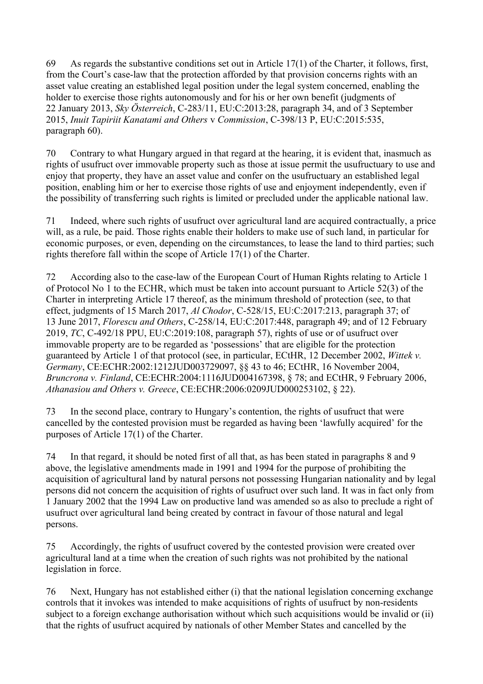69 As regards the substantive conditions set out in Article 17(1) of the Charter, it follows, first, from the Court's case-law that the protection afforded by that provision concerns rights with an asset value creating an established legal position under the legal system concerned, enabling the holder to exercise those rights autonomously and for his or her own benefit (judgments of 22 January 2013, *Sky Österreich*, C-283/11, EU:C:2013:28, paragraph 34, and of 3 September 2015, *Inuit Tapiriit Kanatami and Others* v *Commission*, C-398/13 P, EU:C:2015:535, paragraph 60).

70 Contrary to what Hungary argued in that regard at the hearing, it is evident that, inasmuch as rights of usufruct over immovable property such as those at issue permit the usufructuary to use and enjoy that property, they have an asset value and confer on the usufructuary an established legal position, enabling him or her to exercise those rights of use and enjoyment independently, even if the possibility of transferring such rights is limited or precluded under the applicable national law.

71 Indeed, where such rights of usufruct over agricultural land are acquired contractually, a price will, as a rule, be paid. Those rights enable their holders to make use of such land, in particular for economic purposes, or even, depending on the circumstances, to lease the land to third parties; such rights therefore fall within the scope of Article 17(1) of the Charter.

72 According also to the case-law of the European Court of Human Rights relating to Article 1 of Protocol No 1 to the ECHR, which must be taken into account pursuant to Article 52(3) of the Charter in interpreting Article 17 thereof, as the minimum threshold of protection (see, to that effect, judgments of 15 March 2017, *Al Chodor*, C-528/15, EU:C:2017:213, paragraph 37; of 13 June 2017, *Florescu and Others*, C-258/14, EU:C:2017:448, paragraph 49; and of 12 February 2019, *TC*, C-492/18 PPU, EU:C:2019:108, paragraph 57), rights of use or of usufruct over immovable property are to be regarded as 'possessions' that are eligible for the protection guaranteed by Article 1 of that protocol (see, in particular, ECtHR, 12 December 2002, *Wittek v. Germany*, CE:ECHR:2002:1212JUD003729097, §§ 43 to 46; ECtHR, 16 November 2004, *Bruncrona v. Finland*, CE:ECHR:2004:1116JUD004167398, § 78; and ECtHR, 9 February 2006, *Athanasiou and Others v. Greece*, CE:ECHR:2006:0209JUD000253102, § 22).

73 In the second place, contrary to Hungary's contention, the rights of usufruct that were cancelled by the contested provision must be regarded as having been 'lawfully acquired' for the purposes of Article 17(1) of the Charter.

74 In that regard, it should be noted first of all that, as has been stated in paragraphs 8 and 9 above, the legislative amendments made in 1991 and 1994 for the purpose of prohibiting the acquisition of agricultural land by natural persons not possessing Hungarian nationality and by legal persons did not concern the acquisition of rights of usufruct over such land. It was in fact only from 1 January 2002 that the 1994 Law on productive land was amended so as also to preclude a right of usufruct over agricultural land being created by contract in favour of those natural and legal persons.

75 Accordingly, the rights of usufruct covered by the contested provision were created over agricultural land at a time when the creation of such rights was not prohibited by the national legislation in force.

76 Next, Hungary has not established either (i) that the national legislation concerning exchange controls that it invokes was intended to make acquisitions of rights of usufruct by non-residents subject to a foreign exchange authorisation without which such acquisitions would be invalid or (ii) that the rights of usufruct acquired by nationals of other Member States and cancelled by the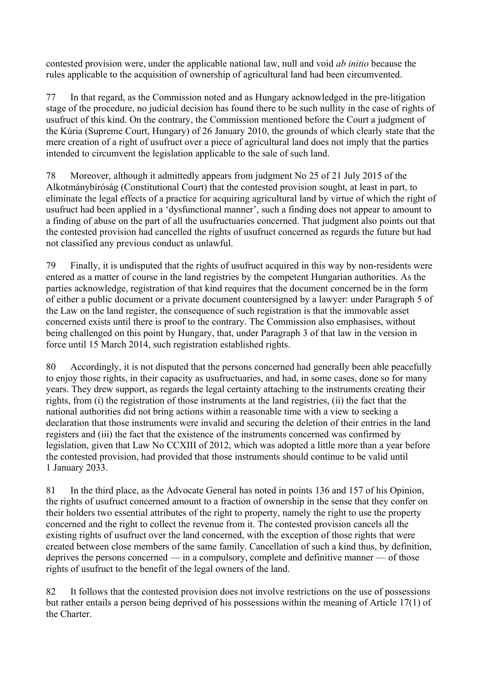contested provision were, under the applicable national law, null and void *ab initio* because the rules applicable to the acquisition of ownership of agricultural land had been circumvented.

77 In that regard, as the Commission noted and as Hungary acknowledged in the pre-litigation stage of the procedure, no judicial decision has found there to be such nullity in the case of rights of usufruct of this kind. On the contrary, the Commission mentioned before the Court a judgment of the Kúria (Supreme Court, Hungary) of 26 January 2010, the grounds of which clearly state that the mere creation of a right of usufruct over a piece of agricultural land does not imply that the parties intended to circumvent the legislation applicable to the sale of such land.

78 Moreover, although it admittedly appears from judgment No 25 of 21 July 2015 of the Alkotmánybíróság (Constitutional Court) that the contested provision sought, at least in part, to eliminate the legal effects of a practice for acquiring agricultural land by virtue of which the right of usufruct had been applied in a 'dysfunctional manner', such a finding does not appear to amount to a finding of abuse on the part of all the usufructuaries concerned. That judgment also points out that the contested provision had cancelled the rights of usufruct concerned as regards the future but had not classified any previous conduct as unlawful.

79 Finally, it is undisputed that the rights of usufruct acquired in this way by non-residents were entered as a matter of course in the land registries by the competent Hungarian authorities. As the parties acknowledge, registration of that kind requires that the document concerned be in the form of either a public document or a private document countersigned by a lawyer: under Paragraph 5 of the Law on the land register, the consequence of such registration is that the immovable asset concerned exists until there is proof to the contrary. The Commission also emphasises, without being challenged on this point by Hungary, that, under Paragraph 3 of that law in the version in force until 15 March 2014, such registration established rights.

80 Accordingly, it is not disputed that the persons concerned had generally been able peacefully to enjoy those rights, in their capacity as usufructuaries, and had, in some cases, done so for many years. They drew support, as regards the legal certainty attaching to the instruments creating their rights, from (i) the registration of those instruments at the land registries, (ii) the fact that the national authorities did not bring actions within a reasonable time with a view to seeking a declaration that those instruments were invalid and securing the deletion of their entries in the land registers and (iii) the fact that the existence of the instruments concerned was confirmed by legislation, given that Law No CCXIII of 2012, which was adopted a little more than a year before the contested provision, had provided that those instruments should continue to be valid until 1 January 2033.

81 In the third place, as the Advocate General has noted in points 136 and 157 of his Opinion, the rights of usufruct concerned amount to a fraction of ownership in the sense that they confer on their holders two essential attributes of the right to property, namely the right to use the property concerned and the right to collect the revenue from it. The contested provision cancels all the existing rights of usufruct over the land concerned, with the exception of those rights that were created between close members of the same family. Cancellation of such a kind thus, by definition, deprives the persons concerned — in a compulsory, complete and definitive manner — of those rights of usufruct to the benefit of the legal owners of the land.

82 It follows that the contested provision does not involve restrictions on the use of possessions but rather entails a person being deprived of his possessions within the meaning of Article 17(1) of the Charter.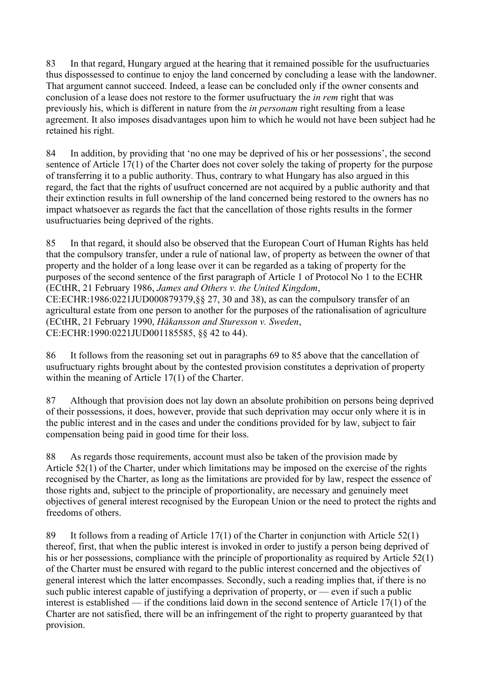83 In that regard, Hungary argued at the hearing that it remained possible for the usufructuaries thus dispossessed to continue to enjoy the land concerned by concluding a lease with the landowner. That argument cannot succeed. Indeed, a lease can be concluded only if the owner consents and conclusion of a lease does not restore to the former usufructuary the *in rem* right that was previously his, which is different in nature from the *in personam* right resulting from a lease agreement. It also imposes disadvantages upon him to which he would not have been subject had he retained his right.

84 In addition, by providing that 'no one may be deprived of his or her possessions', the second sentence of Article 17(1) of the Charter does not cover solely the taking of property for the purpose of transferring it to a public authority. Thus, contrary to what Hungary has also argued in this regard, the fact that the rights of usufruct concerned are not acquired by a public authority and that their extinction results in full ownership of the land concerned being restored to the owners has no impact whatsoever as regards the fact that the cancellation of those rights results in the former usufructuaries being deprived of the rights.

85 In that regard, it should also be observed that the European Court of Human Rights has held that the compulsory transfer, under a rule of national law, of property as between the owner of that property and the holder of a long lease over it can be regarded as a taking of property for the purposes of the second sentence of the first paragraph of Article 1 of Protocol No 1 to the ECHR (ECtHR, 21 February 1986, *James and Others v. the United Kingdom*, CE:ECHR:1986:0221JUD000879379,§§ 27, 30 and 38), as can the compulsory transfer of an agricultural estate from one person to another for the purposes of the rationalisation of agriculture

(ECtHR, 21 February 1990, *Håkansson and Sturesson v. Sweden*, CE:ECHR:1990:0221JUD001185585, §§ 42 to 44).

86 It follows from the reasoning set out in paragraphs 69 to 85 above that the cancellation of usufructuary rights brought about by the contested provision constitutes a deprivation of property within the meaning of Article 17(1) of the Charter.

87 Although that provision does not lay down an absolute prohibition on persons being deprived of their possessions, it does, however, provide that such deprivation may occur only where it is in the public interest and in the cases and under the conditions provided for by law, subject to fair compensation being paid in good time for their loss.

88 As regards those requirements, account must also be taken of the provision made by Article 52(1) of the Charter, under which limitations may be imposed on the exercise of the rights recognised by the Charter, as long as the limitations are provided for by law, respect the essence of those rights and, subject to the principle of proportionality, are necessary and genuinely meet objectives of general interest recognised by the European Union or the need to protect the rights and freedoms of others.

89 It follows from a reading of Article 17(1) of the Charter in conjunction with Article 52(1) thereof, first, that when the public interest is invoked in order to justify a person being deprived of his or her possessions, compliance with the principle of proportionality as required by Article 52(1) of the Charter must be ensured with regard to the public interest concerned and the objectives of general interest which the latter encompasses. Secondly, such a reading implies that, if there is no such public interest capable of justifying a deprivation of property, or — even if such a public interest is established — if the conditions laid down in the second sentence of Article 17(1) of the Charter are not satisfied, there will be an infringement of the right to property guaranteed by that provision.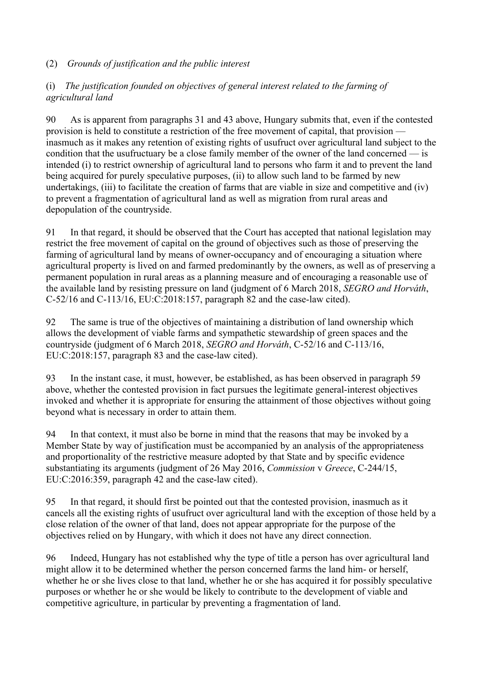### (2) *Grounds of justification and the public interest*

### (i) *The justification founded on objectives of general interest related to the farming of agricultural land*

90 As is apparent from paragraphs 31 and 43 above, Hungary submits that, even if the contested provision is held to constitute a restriction of the free movement of capital, that provision inasmuch as it makes any retention of existing rights of usufruct over agricultural land subject to the condition that the usufructuary be a close family member of the owner of the land concerned — is intended (i) to restrict ownership of agricultural land to persons who farm it and to prevent the land being acquired for purely speculative purposes, (ii) to allow such land to be farmed by new undertakings, (iii) to facilitate the creation of farms that are viable in size and competitive and (iv) to prevent a fragmentation of agricultural land as well as migration from rural areas and depopulation of the countryside.

91 In that regard, it should be observed that the Court has accepted that national legislation may restrict the free movement of capital on the ground of objectives such as those of preserving the farming of agricultural land by means of owner-occupancy and of encouraging a situation where agricultural property is lived on and farmed predominantly by the owners, as well as of preserving a permanent population in rural areas as a planning measure and of encouraging a reasonable use of the available land by resisting pressure on land (judgment of 6 March 2018, *SEGRO and Horváth*, C-52/16 and C-113/16, EU:C:2018:157, paragraph 82 and the case-law cited).

92 The same is true of the objectives of maintaining a distribution of land ownership which allows the development of viable farms and sympathetic stewardship of green spaces and the countryside (judgment of 6 March 2018, *SEGRO and Horváth*, C-52/16 and C-113/16, EU:C:2018:157, paragraph 83 and the case-law cited).

93 In the instant case, it must, however, be established, as has been observed in paragraph 59 above, whether the contested provision in fact pursues the legitimate general-interest objectives invoked and whether it is appropriate for ensuring the attainment of those objectives without going beyond what is necessary in order to attain them.

94 In that context, it must also be borne in mind that the reasons that may be invoked by a Member State by way of justification must be accompanied by an analysis of the appropriateness and proportionality of the restrictive measure adopted by that State and by specific evidence substantiating its arguments (judgment of 26 May 2016, *Commission* v *Greece*, C-244/15, EU:C:2016:359, paragraph 42 and the case-law cited).

95 In that regard, it should first be pointed out that the contested provision, inasmuch as it cancels all the existing rights of usufruct over agricultural land with the exception of those held by a close relation of the owner of that land, does not appear appropriate for the purpose of the objectives relied on by Hungary, with which it does not have any direct connection.

96 Indeed, Hungary has not established why the type of title a person has over agricultural land might allow it to be determined whether the person concerned farms the land him- or herself, whether he or she lives close to that land, whether he or she has acquired it for possibly speculative purposes or whether he or she would be likely to contribute to the development of viable and competitive agriculture, in particular by preventing a fragmentation of land.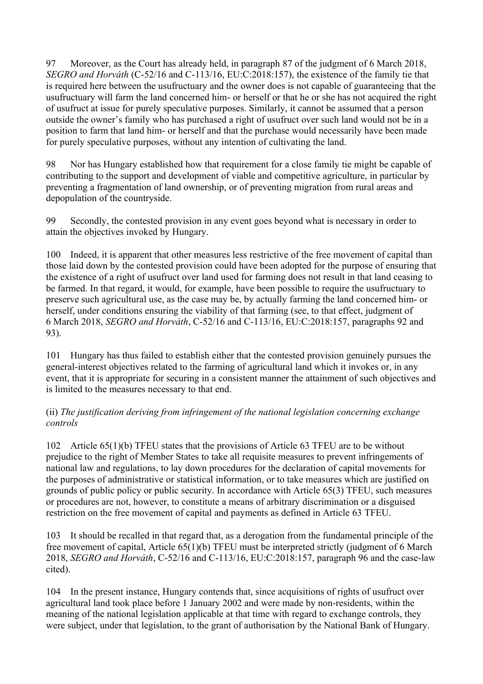97 Moreover, as the Court has already held, in paragraph 87 of the judgment of 6 March 2018, *SEGRO and Horváth* (C-52/16 and C-113/16, EU:C:2018:157), the existence of the family tie that is required here between the usufructuary and the owner does is not capable of guaranteeing that the usufructuary will farm the land concerned him- or herself or that he or she has not acquired the right of usufruct at issue for purely speculative purposes. Similarly, it cannot be assumed that a person outside the owner's family who has purchased a right of usufruct over such land would not be in a position to farm that land him- or herself and that the purchase would necessarily have been made for purely speculative purposes, without any intention of cultivating the land.

98 Nor has Hungary established how that requirement for a close family tie might be capable of contributing to the support and development of viable and competitive agriculture, in particular by preventing a fragmentation of land ownership, or of preventing migration from rural areas and depopulation of the countryside.

99 Secondly, the contested provision in any event goes beyond what is necessary in order to attain the objectives invoked by Hungary.

100 Indeed, it is apparent that other measures less restrictive of the free movement of capital than those laid down by the contested provision could have been adopted for the purpose of ensuring that the existence of a right of usufruct over land used for farming does not result in that land ceasing to be farmed. In that regard, it would, for example, have been possible to require the usufructuary to preserve such agricultural use, as the case may be, by actually farming the land concerned him- or herself, under conditions ensuring the viability of that farming (see, to that effect, judgment of 6 March 2018, *SEGRO and Horváth*, C-52/16 and C-113/16, EU:C:2018:157, paragraphs 92 and 93).

101 Hungary has thus failed to establish either that the contested provision genuinely pursues the general-interest objectives related to the farming of agricultural land which it invokes or, in any event, that it is appropriate for securing in a consistent manner the attainment of such objectives and is limited to the measures necessary to that end.

### (ii) *The justification deriving from infringement of the national legislation concerning exchange controls*

102 Article 65(1)(b) TFEU states that the provisions of Article 63 TFEU are to be without prejudice to the right of Member States to take all requisite measures to prevent infringements of national law and regulations, to lay down procedures for the declaration of capital movements for the purposes of administrative or statistical information, or to take measures which are justified on grounds of public policy or public security. In accordance with Article 65(3) TFEU, such measures or procedures are not, however, to constitute a means of arbitrary discrimination or a disguised restriction on the free movement of capital and payments as defined in Article 63 TFEU.

103 It should be recalled in that regard that, as a derogation from the fundamental principle of the free movement of capital, Article 65(1)(b) TFEU must be interpreted strictly (judgment of 6 March 2018, *SEGRO and Horváth*, C-52/16 and C-113/16, EU:C:2018:157, paragraph 96 and the case-law cited).

104 In the present instance, Hungary contends that, since acquisitions of rights of usufruct over agricultural land took place before 1 January 2002 and were made by non-residents, within the meaning of the national legislation applicable at that time with regard to exchange controls, they were subject, under that legislation, to the grant of authorisation by the National Bank of Hungary.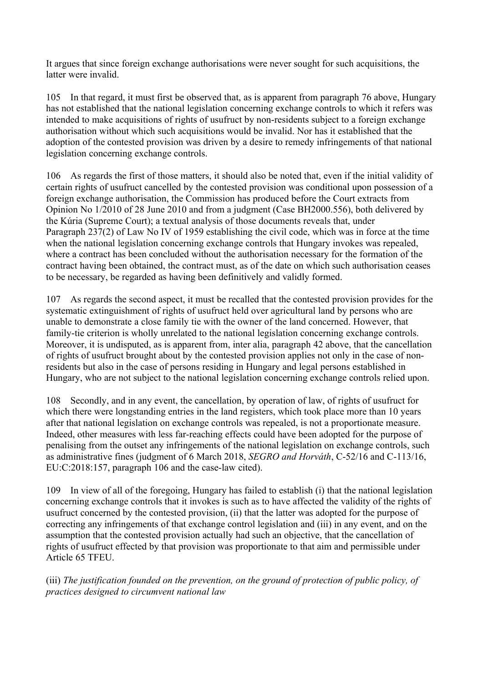It argues that since foreign exchange authorisations were never sought for such acquisitions, the latter were invalid.

105 In that regard, it must first be observed that, as is apparent from paragraph 76 above, Hungary has not established that the national legislation concerning exchange controls to which it refers was intended to make acquisitions of rights of usufruct by non-residents subject to a foreign exchange authorisation without which such acquisitions would be invalid. Nor has it established that the adoption of the contested provision was driven by a desire to remedy infringements of that national legislation concerning exchange controls.

106 As regards the first of those matters, it should also be noted that, even if the initial validity of certain rights of usufruct cancelled by the contested provision was conditional upon possession of a foreign exchange authorisation, the Commission has produced before the Court extracts from Opinion No 1/2010 of 28 June 2010 and from a judgment (Case BH2000.556), both delivered by the Kúria (Supreme Court); a textual analysis of those documents reveals that, under Paragraph 237(2) of Law No IV of 1959 establishing the civil code, which was in force at the time when the national legislation concerning exchange controls that Hungary invokes was repealed, where a contract has been concluded without the authorisation necessary for the formation of the contract having been obtained, the contract must, as of the date on which such authorisation ceases to be necessary, be regarded as having been definitively and validly formed.

107 As regards the second aspect, it must be recalled that the contested provision provides for the systematic extinguishment of rights of usufruct held over agricultural land by persons who are unable to demonstrate a close family tie with the owner of the land concerned. However, that family-tie criterion is wholly unrelated to the national legislation concerning exchange controls. Moreover, it is undisputed, as is apparent from, inter alia, paragraph 42 above, that the cancellation of rights of usufruct brought about by the contested provision applies not only in the case of nonresidents but also in the case of persons residing in Hungary and legal persons established in Hungary, who are not subject to the national legislation concerning exchange controls relied upon.

108 Secondly, and in any event, the cancellation, by operation of law, of rights of usufruct for which there were longstanding entries in the land registers, which took place more than 10 years after that national legislation on exchange controls was repealed, is not a proportionate measure. Indeed, other measures with less far-reaching effects could have been adopted for the purpose of penalising from the outset any infringements of the national legislation on exchange controls, such as administrative fines (judgment of 6 March 2018, *SEGRO and Horváth*, C-52/16 and C-113/16, EU:C:2018:157, paragraph 106 and the case-law cited).

109 In view of all of the foregoing, Hungary has failed to establish (i) that the national legislation concerning exchange controls that it invokes is such as to have affected the validity of the rights of usufruct concerned by the contested provision, (ii) that the latter was adopted for the purpose of correcting any infringements of that exchange control legislation and (iii) in any event, and on the assumption that the contested provision actually had such an objective, that the cancellation of rights of usufruct effected by that provision was proportionate to that aim and permissible under Article 65 TFEU.

(iii) *The justification founded on the prevention, on the ground of protection of public policy, of practices designed to circumvent national law*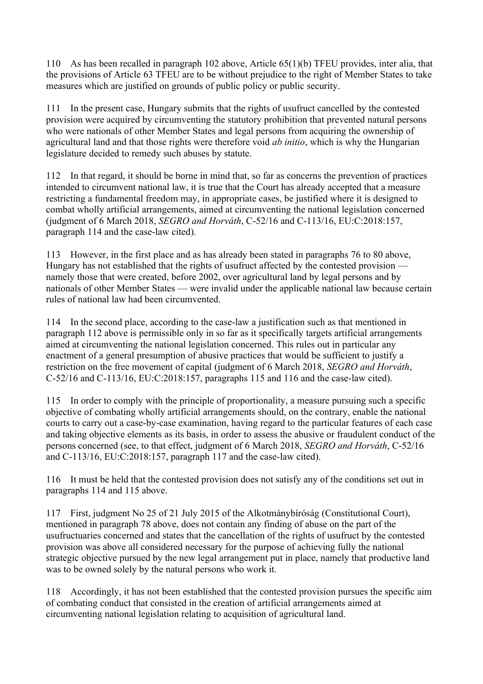110 As has been recalled in paragraph 102 above, Article 65(1)(b) TFEU provides, inter alia, that the provisions of Article 63 TFEU are to be without prejudice to the right of Member States to take measures which are justified on grounds of public policy or public security.

111 In the present case, Hungary submits that the rights of usufruct cancelled by the contested provision were acquired by circumventing the statutory prohibition that prevented natural persons who were nationals of other Member States and legal persons from acquiring the ownership of agricultural land and that those rights were therefore void *ab initio*, which is why the Hungarian legislature decided to remedy such abuses by statute.

112 In that regard, it should be borne in mind that, so far as concerns the prevention of practices intended to circumvent national law, it is true that the Court has already accepted that a measure restricting a fundamental freedom may, in appropriate cases, be justified where it is designed to combat wholly artificial arrangements, aimed at circumventing the national legislation concerned (judgment of 6 March 2018, *SEGRO and Horváth*, C-52/16 and C-113/16, EU:C:2018:157, paragraph 114 and the case-law cited).

113 However, in the first place and as has already been stated in paragraphs 76 to 80 above, Hungary has not established that the rights of usufruct affected by the contested provision namely those that were created, before 2002, over agricultural land by legal persons and by nationals of other Member States — were invalid under the applicable national law because certain rules of national law had been circumvented.

114 In the second place, according to the case-law a justification such as that mentioned in paragraph 112 above is permissible only in so far as it specifically targets artificial arrangements aimed at circumventing the national legislation concerned. This rules out in particular any enactment of a general presumption of abusive practices that would be sufficient to justify a restriction on the free movement of capital (judgment of 6 March 2018, *SEGRO and Horváth*, C-52/16 and C-113/16, EU:C:2018:157, paragraphs 115 and 116 and the case-law cited).

115 In order to comply with the principle of proportionality, a measure pursuing such a specific objective of combating wholly artificial arrangements should, on the contrary, enable the national courts to carry out a case-by-case examination, having regard to the particular features of each case and taking objective elements as its basis, in order to assess the abusive or fraudulent conduct of the persons concerned (see, to that effect, judgment of 6 March 2018, *SEGRO and Horváth*, C-52/16 and C-113/16, EU:C:2018:157, paragraph 117 and the case-law cited).

116 It must be held that the contested provision does not satisfy any of the conditions set out in paragraphs 114 and 115 above.

117 First, judgment No 25 of 21 July 2015 of the Alkotmánybíróság (Constitutional Court), mentioned in paragraph 78 above, does not contain any finding of abuse on the part of the usufructuaries concerned and states that the cancellation of the rights of usufruct by the contested provision was above all considered necessary for the purpose of achieving fully the national strategic objective pursued by the new legal arrangement put in place, namely that productive land was to be owned solely by the natural persons who work it.

118 Accordingly, it has not been established that the contested provision pursues the specific aim of combating conduct that consisted in the creation of artificial arrangements aimed at circumventing national legislation relating to acquisition of agricultural land.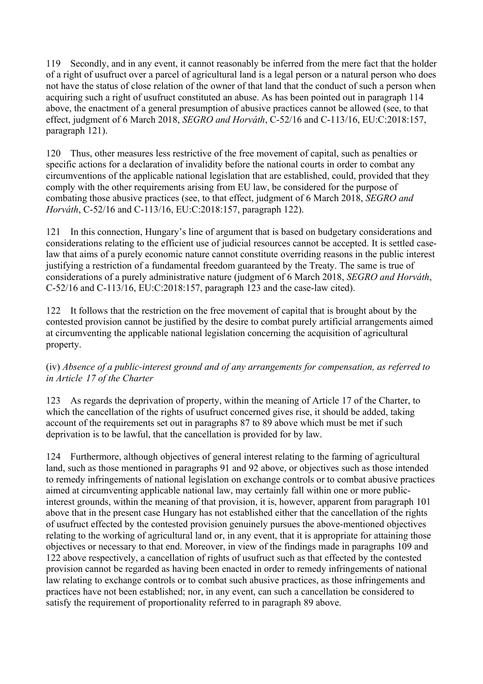119 Secondly, and in any event, it cannot reasonably be inferred from the mere fact that the holder of a right of usufruct over a parcel of agricultural land is a legal person or a natural person who does not have the status of close relation of the owner of that land that the conduct of such a person when acquiring such a right of usufruct constituted an abuse. As has been pointed out in paragraph 114 above, the enactment of a general presumption of abusive practices cannot be allowed (see, to that effect, judgment of 6 March 2018, *SEGRO and Horváth*, C-52/16 and C-113/16, EU:C:2018:157, paragraph 121).

120 Thus, other measures less restrictive of the free movement of capital, such as penalties or specific actions for a declaration of invalidity before the national courts in order to combat any circumventions of the applicable national legislation that are established, could, provided that they comply with the other requirements arising from EU law, be considered for the purpose of combating those abusive practices (see, to that effect, judgment of 6 March 2018, *SEGRO and Horváth*, C-52/16 and C-113/16, EU:C:2018:157, paragraph 122).

121 In this connection, Hungary's line of argument that is based on budgetary considerations and considerations relating to the efficient use of judicial resources cannot be accepted. It is settled caselaw that aims of a purely economic nature cannot constitute overriding reasons in the public interest justifying a restriction of a fundamental freedom guaranteed by the Treaty. The same is true of considerations of a purely administrative nature (judgment of 6 March 2018, *SEGRO and Horváth*, C-52/16 and C-113/16, EU:C:2018:157, paragraph 123 and the case-law cited).

122 It follows that the restriction on the free movement of capital that is brought about by the contested provision cannot be justified by the desire to combat purely artificial arrangements aimed at circumventing the applicable national legislation concerning the acquisition of agricultural property.

# (iv) *Absence of a public-interest ground and of any arrangements for compensation, as referred to in Article 17 of the Charter*

123 As regards the deprivation of property, within the meaning of Article 17 of the Charter, to which the cancellation of the rights of usufruct concerned gives rise, it should be added, taking account of the requirements set out in paragraphs 87 to 89 above which must be met if such deprivation is to be lawful, that the cancellation is provided for by law.

124 Furthermore, although objectives of general interest relating to the farming of agricultural land, such as those mentioned in paragraphs 91 and 92 above, or objectives such as those intended to remedy infringements of national legislation on exchange controls or to combat abusive practices aimed at circumventing applicable national law, may certainly fall within one or more publicinterest grounds, within the meaning of that provision, it is, however, apparent from paragraph 101 above that in the present case Hungary has not established either that the cancellation of the rights of usufruct effected by the contested provision genuinely pursues the above-mentioned objectives relating to the working of agricultural land or, in any event, that it is appropriate for attaining those objectives or necessary to that end. Moreover, in view of the findings made in paragraphs 109 and 122 above respectively, a cancellation of rights of usufruct such as that effected by the contested provision cannot be regarded as having been enacted in order to remedy infringements of national law relating to exchange controls or to combat such abusive practices, as those infringements and practices have not been established; nor, in any event, can such a cancellation be considered to satisfy the requirement of proportionality referred to in paragraph 89 above.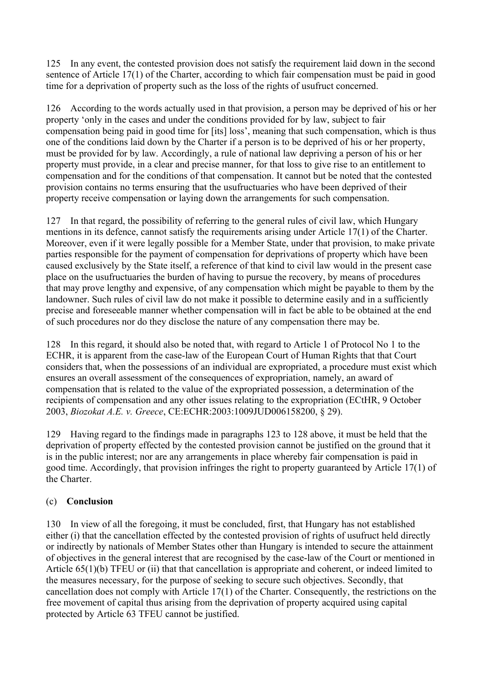125 In any event, the contested provision does not satisfy the requirement laid down in the second sentence of Article 17(1) of the Charter, according to which fair compensation must be paid in good time for a deprivation of property such as the loss of the rights of usufruct concerned.

126 According to the words actually used in that provision, a person may be deprived of his or her property 'only in the cases and under the conditions provided for by law, subject to fair compensation being paid in good time for [its] loss', meaning that such compensation, which is thus one of the conditions laid down by the Charter if a person is to be deprived of his or her property, must be provided for by law. Accordingly, a rule of national law depriving a person of his or her property must provide, in a clear and precise manner, for that loss to give rise to an entitlement to compensation and for the conditions of that compensation. It cannot but be noted that the contested provision contains no terms ensuring that the usufructuaries who have been deprived of their property receive compensation or laying down the arrangements for such compensation.

127 In that regard, the possibility of referring to the general rules of civil law, which Hungary mentions in its defence, cannot satisfy the requirements arising under Article 17(1) of the Charter. Moreover, even if it were legally possible for a Member State, under that provision, to make private parties responsible for the payment of compensation for deprivations of property which have been caused exclusively by the State itself, a reference of that kind to civil law would in the present case place on the usufructuaries the burden of having to pursue the recovery, by means of procedures that may prove lengthy and expensive, of any compensation which might be payable to them by the landowner. Such rules of civil law do not make it possible to determine easily and in a sufficiently precise and foreseeable manner whether compensation will in fact be able to be obtained at the end of such procedures nor do they disclose the nature of any compensation there may be.

128 In this regard, it should also be noted that, with regard to Article 1 of Protocol No 1 to the ECHR, it is apparent from the case-law of the European Court of Human Rights that that Court considers that, when the possessions of an individual are expropriated, a procedure must exist which ensures an overall assessment of the consequences of expropriation, namely, an award of compensation that is related to the value of the expropriated possession, a determination of the recipients of compensation and any other issues relating to the expropriation (ECtHR, 9 October 2003, *Biozokat A.E. v. Greece*, CE:ECHR:2003:1009JUD006158200, § 29).

129 Having regard to the findings made in paragraphs 123 to 128 above, it must be held that the deprivation of property effected by the contested provision cannot be justified on the ground that it is in the public interest; nor are any arrangements in place whereby fair compensation is paid in good time. Accordingly, that provision infringes the right to property guaranteed by Article 17(1) of the Charter.

# (c) **Conclusion**

130 In view of all the foregoing, it must be concluded, first, that Hungary has not established either (i) that the cancellation effected by the contested provision of rights of usufruct held directly or indirectly by nationals of Member States other than Hungary is intended to secure the attainment of objectives in the general interest that are recognised by the case-law of the Court or mentioned in Article 65(1)(b) TFEU or (ii) that that cancellation is appropriate and coherent, or indeed limited to the measures necessary, for the purpose of seeking to secure such objectives. Secondly, that cancellation does not comply with Article 17(1) of the Charter. Consequently, the restrictions on the free movement of capital thus arising from the deprivation of property acquired using capital protected by Article 63 TFEU cannot be justified.